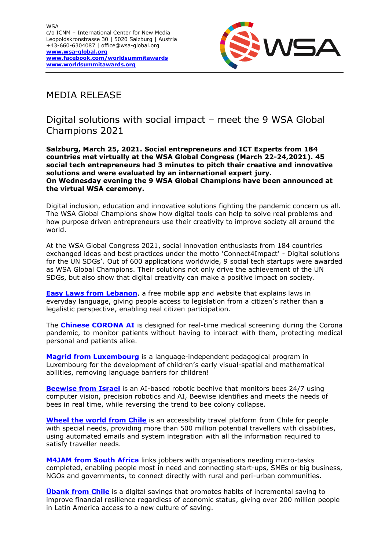

## MEDIA RELEASE

Digital solutions with social impact – meet the 9 WSA Global Champions 2021

**Salzburg, March 25, 2021. Social entrepreneurs and ICT Experts from 184 countries met virtually at the WSA Global Congress (March 22-24,2021). 45 social tech entrepreneurs had 3 minutes to pitch their creative and innovative solutions and were evaluated by an international expert jury. On Wednesday evening the 9 WSA Global Champions have been announced at the virtual WSA ceremony.**

Digital inclusion, education and innovative solutions fighting the pandemic concern us all. The WSA Global Champions show how digital tools can help to solve real problems and how purpose driven entrepreneurs use their creativity to improve society all around the world.

At the WSA Global Congress 2021, social innovation enthusiasts from 184 countries exchanged ideas and best practices under the motto 'Connect4Impact' - Digital solutions for the UN SDGs'. Out of 600 applications worldwide, 9 social tech startups were awarded as WSA Global Champions. Their solutions not only drive the achievement of the UN SDGs, but also show that digital creativity can make a positive impact on society.

**[Easy Laws from Lebanon](https://wsa-global.org/winner/easy-laws/)**, a free mobile app and website that explains laws in everyday language, giving people access to legislation from a citizen's rather than a legalistic perspective, enabling real citizen participation.

The **[Chinese CORONA AI](https://wsa-global.org/winner/coronai/)** is designed for real-time medical screening during the Corona pandemic, to monitor patients without having to interact with them, protecting medical personal and patients alike.

**Magrid [from Luxembourg](https://wsa-global.org/winner/magrid/)** is a language-independent pedagogical program in Luxembourg for the development of children's early visual-spatial and mathematical abilities, removing language barriers for children!

**[Beewise from Israel](https://wsa-global.org/winner/beewise/)** is an AI-based robotic beehive that monitors bees 24/7 using computer vision, precision robotics and AI, Beewise identifies and meets the needs of bees in real time, while reversing the trend to bee colony collapse.

**[Wheel the world from Chile](https://wsa-global.org/winner/wheel-the-world/)** is an accessibility travel platform from Chile for people with special needs, providing more than 500 million potential travellers with disabilities, using automated emails and system integration with all the information required to satisfy traveller needs.

**[M4JAM from South Africa](https://wsa-global.org/winner/wheel-the-world/)** links jobbers with organisations needing micro-tasks completed, enabling people most in need and connecting start-ups, SMEs or big business, NGOs and governments, to connect directly with rural and peri-urban communities.

**[Übank from Chile](https://wsa-global.org/winner/ubank/)** is a digital savings that promotes habits of incremental saving to improve financial resilience regardless of economic status, giving over 200 million people in Latin America access to a new culture of saving.